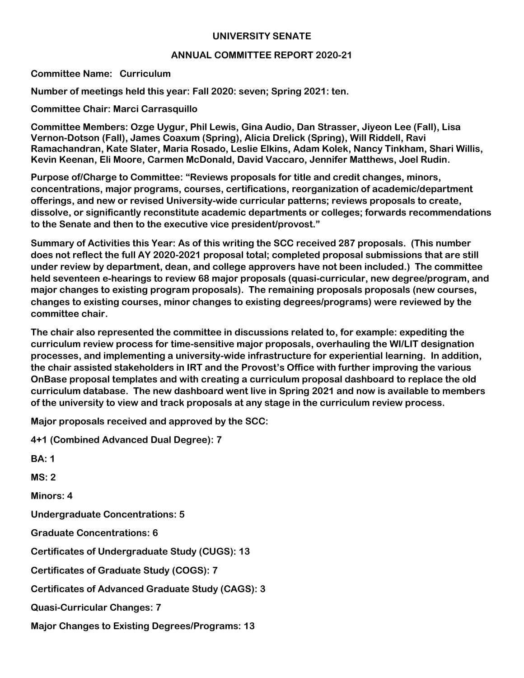## **UNIVERSITY SENATE**

## **ANNUAL COMMITTEE REPORT 2020-21**

**Committee Name: Curriculum**

**Number of meetings held this year: Fall 2020: seven; Spring 2021: ten.**

**Committee Chair: Marci Carrasquillo**

**Committee Members: Ozge Uygur, Phil Lewis, Gina Audio, Dan Strasser, Jiyeon Lee (Fall), Lisa Vernon-Dotson (Fall), James Coaxum (Spring), Alicia Drelick (Spring), Will Riddell, Ravi Ramachandran, Kate Slater, Maria Rosado, Leslie Elkins, Adam Kolek, Nancy Tinkham, Shari Willis, Kevin Keenan, Eli Moore, Carmen McDonald, David Vaccaro, Jennifer Matthews, Joel Rudin.**

**Purpose of/Charge to Committee: "Reviews proposals for title and credit changes, minors, concentrations, major programs, courses, certifications, reorganization of academic/department offerings, and new or revised University-wide curricular patterns; reviews proposals to create, dissolve, or significantly reconstitute academic departments or colleges; forwards recommendations to the Senate and then to the executive vice president/provost."**

**Summary of Activities this Year: As of this writing the SCC received 287 proposals. (This number does not reflect the full AY 2020-2021 proposal total; completed proposal submissions that are still under review by department, dean, and college approvers have not been included.) The committee held seventeen e-hearings to review 68 major proposals (quasi-curricular, new degree/program, and major changes to existing program proposals). The remaining proposals proposals (new courses, changes to existing courses, minor changes to existing degrees/programs) were reviewed by the committee chair.** 

**The chair also represented the committee in discussions related to, for example: expediting the curriculum review process for time-sensitive major proposals, overhauling the WI/LIT designation processes, and implementing a university-wide infrastructure for experiential learning. In addition, the chair assisted stakeholders in IRT and the Provost's Office with further improving the various OnBase proposal templates and with creating a curriculum proposal dashboard to replace the old curriculum database. The new dashboard went live in Spring 2021 and now is available to members of the university to view and track proposals at any stage in the curriculum review process.**

**Major proposals received and approved by the SCC:** 

**4+1 (Combined Advanced Dual Degree): 7 BA: 1 MS: 2 Minors: 4 Undergraduate Concentrations: 5 Graduate Concentrations: 6 Certificates of Undergraduate Study (CUGS): 13 Certificates of Graduate Study (COGS): 7 Certificates of Advanced Graduate Study (CAGS): 3 Quasi-Curricular Changes: 7 Major Changes to Existing Degrees/Programs: 13**